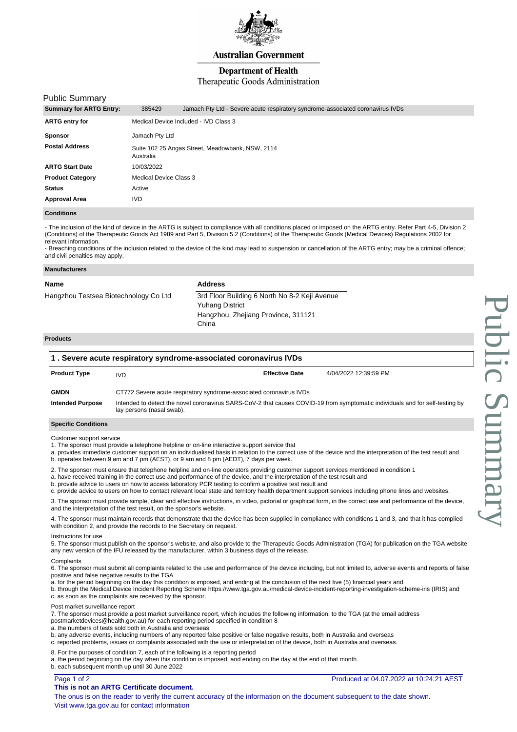

**Australian Government** 

# **Department of Health**

# Therapeutic Goods Administration

## Public Summary

| <b>Summary for ARTG Entry:</b> | 385429                                                        | Jamach Pty Ltd - Severe acute respiratory syndrome-associated coronavirus IVDs |  |
|--------------------------------|---------------------------------------------------------------|--------------------------------------------------------------------------------|--|
| <b>ARTG entry for</b>          | Medical Device Included - IVD Class 3                         |                                                                                |  |
| Sponsor                        | Jamach Pty Ltd                                                |                                                                                |  |
| Postal Address                 | Suite 102 25 Angas Street, Meadowbank, NSW, 2114<br>Australia |                                                                                |  |
| ARTG Start Date                | 10/03/2022                                                    |                                                                                |  |
| <b>Product Category</b>        | Medical Device Class 3                                        |                                                                                |  |
| Status                         | Active                                                        |                                                                                |  |
| Approval Area                  | <b>IVD</b>                                                    |                                                                                |  |
|                                |                                                               |                                                                                |  |

**Conditions**

- The inclusion of the kind of device in the ARTG is subject to compliance with all conditions placed or imposed on the ARTG entry. Refer Part 4-5, Division 2 (Conditions) of the Therapeutic Goods Act 1989 and Part 5, Division 5.2 (Conditions) of the Therapeutic Goods (Medical Devices) Regulations 2002 for relevant information.

- Breaching conditions of the inclusion related to the device of the kind may lead to suspension or cancellation of the ARTG entry; may be a criminal offence; and civil penalties may apply.

| Name                                  | <b>Address</b>                                                                                                          |
|---------------------------------------|-------------------------------------------------------------------------------------------------------------------------|
| Hangzhou Testsea Biotechnology Co Ltd | 3rd Floor Building 6 North No 8-2 Keji Avenue<br><b>Yuhang District</b><br>Hangzhou, Zhejiang Province, 311121<br>China |
| <b>Products</b>                       |                                                                                                                         |

| $\vert$ 1 . Severe acute respiratory syndrome-associated coronavirus IVDs |                                                                                                                                                            |                       |                       |  |  |  |
|---------------------------------------------------------------------------|------------------------------------------------------------------------------------------------------------------------------------------------------------|-----------------------|-----------------------|--|--|--|
| <b>Product Type</b>                                                       | <b>IVD</b>                                                                                                                                                 | <b>Effective Date</b> | 4/04/2022 12:39:59 PM |  |  |  |
| <b>GMDN</b>                                                               | CT772 Severe acute respiratory syndrome-associated coronavirus IVDs                                                                                        |                       |                       |  |  |  |
| <b>Intended Purpose</b>                                                   | Intended to detect the novel coronavirus SARS-CoV-2 that causes COVID-19 from symptomatic individuals and for self-testing by<br>lay persons (nasal swab). |                       |                       |  |  |  |

## **Specific Conditions**

Customer support service

- 1. The sponsor must provide a telephone helpline or on-line interactive support service that
- a. provides immediate customer support on an individualised basis in relation to the correct use of the device and the interpretation of the test result and b. operates between 9 am and 7 pm (AEST), or 9 am and 8 pm (AEDT), 7 days per week.
- 2. The sponsor must ensure that telephone helpline and on-line operators providing customer support services mentioned in condition 1
- a. have received training in the correct use and performance of the device, and the interpretation of the test result and
- b. provide advice to users on how to access laboratory PCR testing to confirm a positive test result and

c. provide advice to users on how to contact relevant local state and territory health department support services including phone lines and websites.

3. The sponsor must provide simple, clear and effective instructions, in video, pictorial or graphical form, in the correct use and performance of the device, and the interpretation of the test result, on the sponsor's website.

4. The sponsor must maintain records that demonstrate that the device has been supplied in compliance with conditions 1 and 3, and that it has complied with condition 2, and provide the records to the Secretary on request.

### Instructions for use

5. The sponsor must publish on the sponsor's website, and also provide to the Therapeutic Goods Administration (TGA) for publication on the TGA website any new version of the IFU released by the manufacturer, within 3 business days of the release.

#### **Complaints**

6. The sponsor must submit all complaints related to the use and performance of the device including, but not limited to, adverse events and reports of false positive and false negative results to the TGA

- a. for the period beginning on the day this condition is imposed, and ending at the conclusion of the next five (5) financial years and
- b. through the Medical Device Incident Reporting Scheme https://www.tga.gov.au/medical-device-incident-reporting-investigation-scheme-iris (IRIS) and c. as soon as the complaints are received by the sponsor.

### Post market surveillance report

7. The sponsor must provide a post market surveillance report, which includes the following information, to the TGA (at the email address

- postmarketdevices@health.gov.au) for each reporting period specified in condition 8
- a. the numbers of tests sold both in Australia and overseas
- b. any adverse events, including numbers of any reported false positive or false negative results, both in Australia and overseas
- c. reported problems, issues or complaints associated with the use or interpretation of the device, both in Australia and overseas.

### 8. For the purposes of condition 7, each of the following is a reporting period

- a. the period beginning on the day when this condition is imposed, and ending on the day at the end of that month
- b. each subsequent month up until 30 June 2022

Page 1 of 2

## **This is not an ARTG Certificate document.**

The onus is on the reader to verify the current accuracy of the information on the document subsequent to the date shown. Visit www.tga.gov.au for contact information